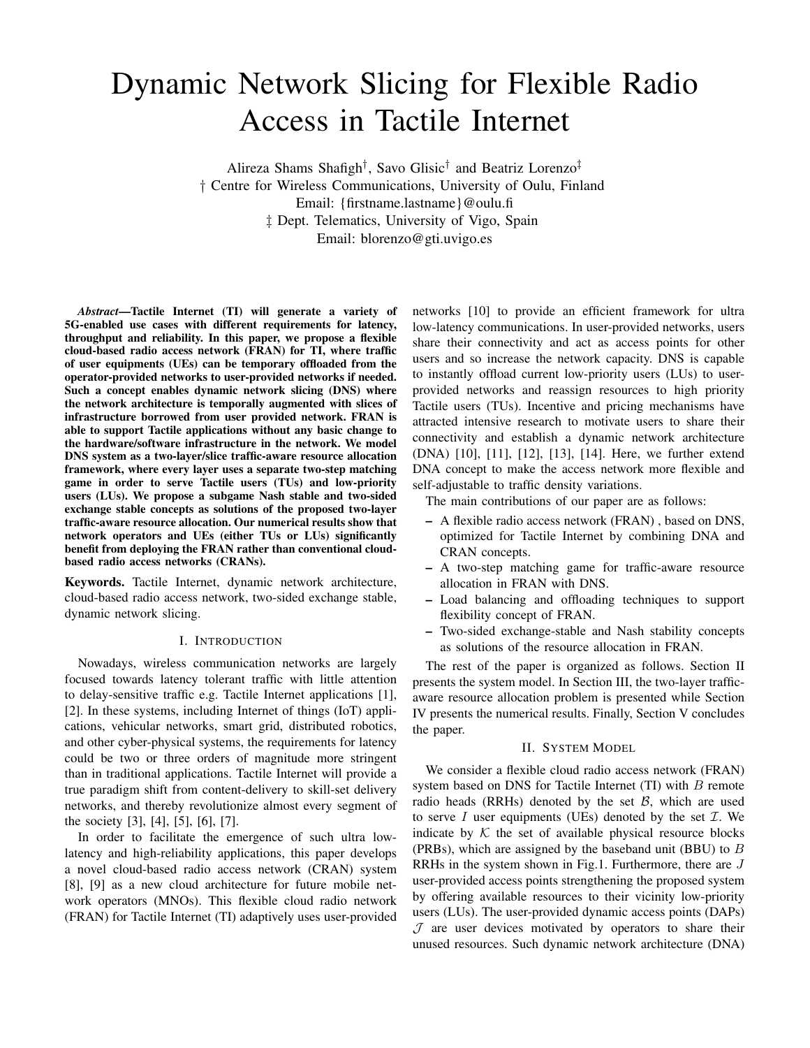# Dynamic Network Slicing for Flexible Radio Access in Tactile Internet

Alireza Shams Shafigh<sup>†</sup>, Savo Glisic<sup>†</sup> and Beatriz Lorenzo<sup>‡</sup> † Centre for Wireless Communications, University of Oulu, Finland Email: {firstname.lastname}@oulu.fi ‡ Dept. Telematics, University of Vigo, Spain Email: blorenzo@gti.uvigo.es

*Abstract*—Tactile Internet (TI) will generate a variety of 5G-enabled use cases with different requirements for latency, throughput and reliability. In this paper, we propose a flexible cloud-based radio access network (FRAN) for TI, where traffic of user equipments (UEs) can be temporary offloaded from the operator-provided networks to user-provided networks if needed. Such a concept enables dynamic network slicing (DNS) where the network architecture is temporally augmented with slices of infrastructure borrowed from user provided network. FRAN is able to support Tactile applications without any basic change to the hardware/software infrastructure in the network. We model DNS system as a two-layer/slice traffic-aware resource allocation framework, where every layer uses a separate two-step matching game in order to serve Tactile users (TUs) and low-priority users (LUs). We propose a subgame Nash stable and two-sided exchange stable concepts as solutions of the proposed two-layer traffic-aware resource allocation. Our numerical results show that network operators and UEs (either TUs or LUs) significantly benefit from deploying the FRAN rather than conventional cloudbased radio access networks (CRANs).

Keywords. Tactile Internet, dynamic network architecture, cloud-based radio access network, two-sided exchange stable, dynamic network slicing.

## I. INTRODUCTION

Nowadays, wireless communication networks are largely focused towards latency tolerant traffic with little attention to delay-sensitive traffic e.g. Tactile Internet applications [1], [2]. In these systems, including Internet of things (IoT) applications, vehicular networks, smart grid, distributed robotics, and other cyber-physical systems, the requirements for latency could be two or three orders of magnitude more stringent than in traditional applications. Tactile Internet will provide a true paradigm shift from content-delivery to skill-set delivery networks, and thereby revolutionize almost every segment of the society [3], [4], [5], [6], [7].

In order to facilitate the emergence of such ultra lowlatency and high-reliability applications, this paper develops a novel cloud-based radio access network (CRAN) system [8], [9] as a new cloud architecture for future mobile network operators (MNOs). This flexible cloud radio network (FRAN) for Tactile Internet (TI) adaptively uses user-provided networks [10] to provide an efficient framework for ultra low-latency communications. In user-provided networks, users share their connectivity and act as access points for other users and so increase the network capacity. DNS is capable to instantly offload current low-priority users (LUs) to userprovided networks and reassign resources to high priority Tactile users (TUs). Incentive and pricing mechanisms have attracted intensive research to motivate users to share their connectivity and establish a dynamic network architecture (DNA) [10], [11], [12], [13], [14]. Here, we further extend DNA concept to make the access network more flexible and self-adjustable to traffic density variations.

The main contributions of our paper are as follows:

- A flexible radio access network (FRAN) , based on DNS, optimized for Tactile Internet by combining DNA and CRAN concepts.
- A two-step matching game for traffic-aware resource allocation in FRAN with DNS.
- Load balancing and offloading techniques to support flexibility concept of FRAN.
- Two-sided exchange-stable and Nash stability concepts as solutions of the resource allocation in FRAN.

The rest of the paper is organized as follows. Section II presents the system model. In Section III, the two-layer trafficaware resource allocation problem is presented while Section IV presents the numerical results. Finally, Section V concludes the paper.

#### II. SYSTEM MODEL

We consider a flexible cloud radio access network (FRAN) system based on DNS for Tactile Internet (TI) with  $B$  remote radio heads (RRHs) denoted by the set  $B$ , which are used to serve I user equipments (UEs) denoted by the set  $\mathcal{I}$ . We indicate by  $K$  the set of available physical resource blocks (PRBs), which are assigned by the baseband unit (BBU) to  $B$ RRHs in the system shown in Fig.1. Furthermore, there are  $J$ user-provided access points strengthening the proposed system by offering available resources to their vicinity low-priority users (LUs). The user-provided dynamic access points (DAPs)  $J$  are user devices motivated by operators to share their unused resources. Such dynamic network architecture (DNA)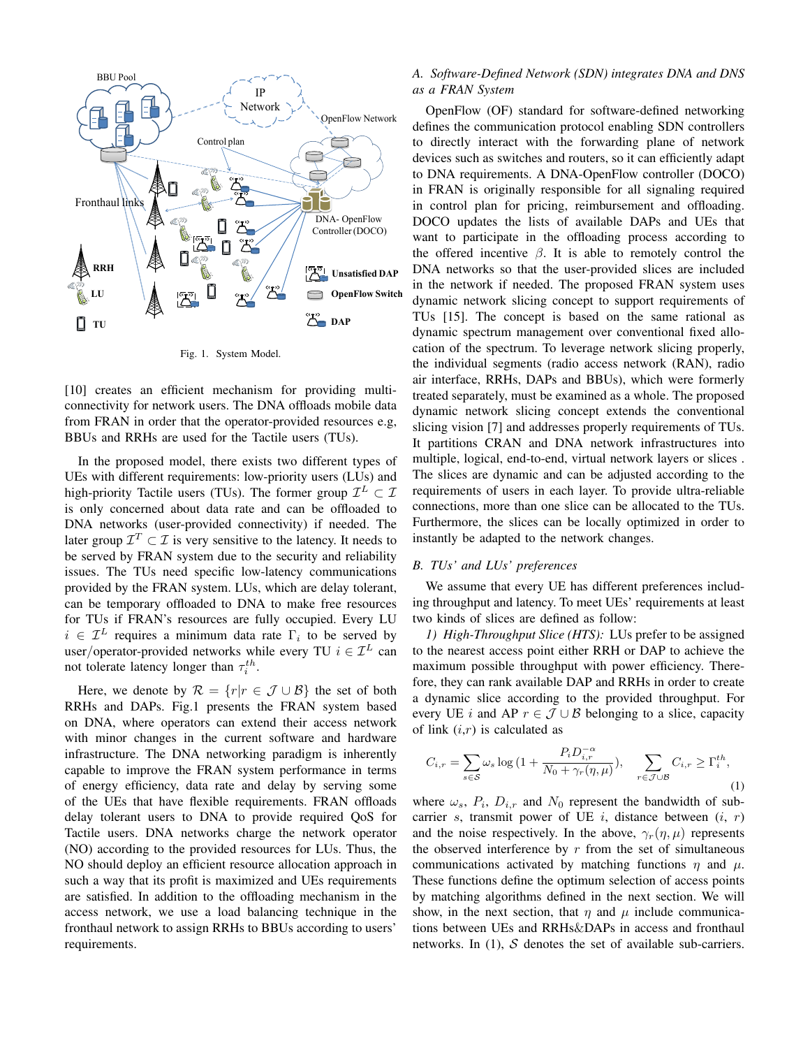

Fig. 1. System Model.

[10] creates an efficient mechanism for providing multiconnectivity for network users. The DNA offloads mobile data from FRAN in order that the operator-provided resources e.g, BBUs and RRHs are used for the Tactile users (TUs).

In the proposed model, there exists two different types of UEs with different requirements: low-priority users (LUs) and high-priority Tactile users (TUs). The former group  $\mathcal{I}^L \subset \mathcal{I}$ is only concerned about data rate and can be offloaded to DNA networks (user-provided connectivity) if needed. The later group  $\mathcal{I}^T \subset \mathcal{I}$  is very sensitive to the latency. It needs to be served by FRAN system due to the security and reliability issues. The TUs need specific low-latency communications provided by the FRAN system. LUs, which are delay tolerant, can be temporary offloaded to DNA to make free resources for TUs if FRAN's resources are fully occupied. Every LU  $i \in \mathcal{I}^L$  requires a minimum data rate  $\Gamma_i$  to be served by user/operator-provided networks while every TU  $i \in \mathcal{I}^L$  can not tolerate latency longer than  $\tau_i^{th}$ .

Here, we denote by  $\mathcal{R} = \{r | r \in \mathcal{J} \cup \mathcal{B}\}\$  the set of both RRHs and DAPs. Fig.1 presents the FRAN system based on DNA, where operators can extend their access network with minor changes in the current software and hardware infrastructure. The DNA networking paradigm is inherently capable to improve the FRAN system performance in terms of energy efficiency, data rate and delay by serving some of the UEs that have flexible requirements. FRAN offloads delay tolerant users to DNA to provide required QoS for Tactile users. DNA networks charge the network operator (NO) according to the provided resources for LUs. Thus, the NO should deploy an efficient resource allocation approach in such a way that its profit is maximized and UEs requirements are satisfied. In addition to the offloading mechanism in the access network, we use a load balancing technique in the fronthaul network to assign RRHs to BBUs according to users' requirements.

# *A. Software-Defined Network (SDN) integrates DNA and DNS as a FRAN System*

OpenFlow (OF) standard for software-defined networking defines the communication protocol enabling SDN controllers to directly interact with the forwarding plane of network devices such as switches and routers, so it can efficiently adapt to DNA requirements. A DNA-OpenFlow controller (DOCO) in FRAN is originally responsible for all signaling required in control plan for pricing, reimbursement and offloading. DOCO updates the lists of available DAPs and UEs that want to participate in the offloading process according to the offered incentive  $\beta$ . It is able to remotely control the DNA networks so that the user-provided slices are included in the network if needed. The proposed FRAN system uses dynamic network slicing concept to support requirements of TUs [15]. The concept is based on the same rational as dynamic spectrum management over conventional fixed allocation of the spectrum. To leverage network slicing properly, the individual segments (radio access network (RAN), radio air interface, RRHs, DAPs and BBUs), which were formerly treated separately, must be examined as a whole. The proposed dynamic network slicing concept extends the conventional slicing vision [7] and addresses properly requirements of TUs. It partitions CRAN and DNA network infrastructures into multiple, logical, end-to-end, virtual network layers or slices . The slices are dynamic and can be adjusted according to the requirements of users in each layer. To provide ultra-reliable connections, more than one slice can be allocated to the TUs. Furthermore, the slices can be locally optimized in order to instantly be adapted to the network changes.

## *B. TUs' and LUs' preferences*

We assume that every UE has different preferences including throughput and latency. To meet UEs' requirements at least two kinds of slices are defined as follow:

*1) High-Throughput Slice (HTS):* LUs prefer to be assigned to the nearest access point either RRH or DAP to achieve the maximum possible throughput with power efficiency. Therefore, they can rank available DAP and RRHs in order to create a dynamic slice according to the provided throughput. For every UE i and AP  $r \in \mathcal{J} \cup \mathcal{B}$  belonging to a slice, capacity of link  $(i,r)$  is calculated as

$$
C_{i,r} = \sum_{s \in S} \omega_s \log \left( 1 + \frac{P_i D_{i,r}^{-\alpha}}{N_0 + \gamma_r(\eta,\mu)} \right), \quad \sum_{r \in \mathcal{J} \cup \mathcal{B}} C_{i,r} \ge \Gamma_i^{th}, \tag{1}
$$

where  $\omega_s$ ,  $P_i$ ,  $D_{i,r}$  and  $N_0$  represent the bandwidth of subcarrier s, transmit power of UE  $i$ , distance between  $(i, r)$ and the noise respectively. In the above,  $\gamma_r(\eta,\mu)$  represents the observed interference by  $r$  from the set of simultaneous communications activated by matching functions  $\eta$  and  $\mu$ . These functions define the optimum selection of access points by matching algorithms defined in the next section. We will show, in the next section, that  $\eta$  and  $\mu$  include communications between UEs and RRHs&DAPs in access and fronthaul networks. In  $(1)$ , S denotes the set of available sub-carriers.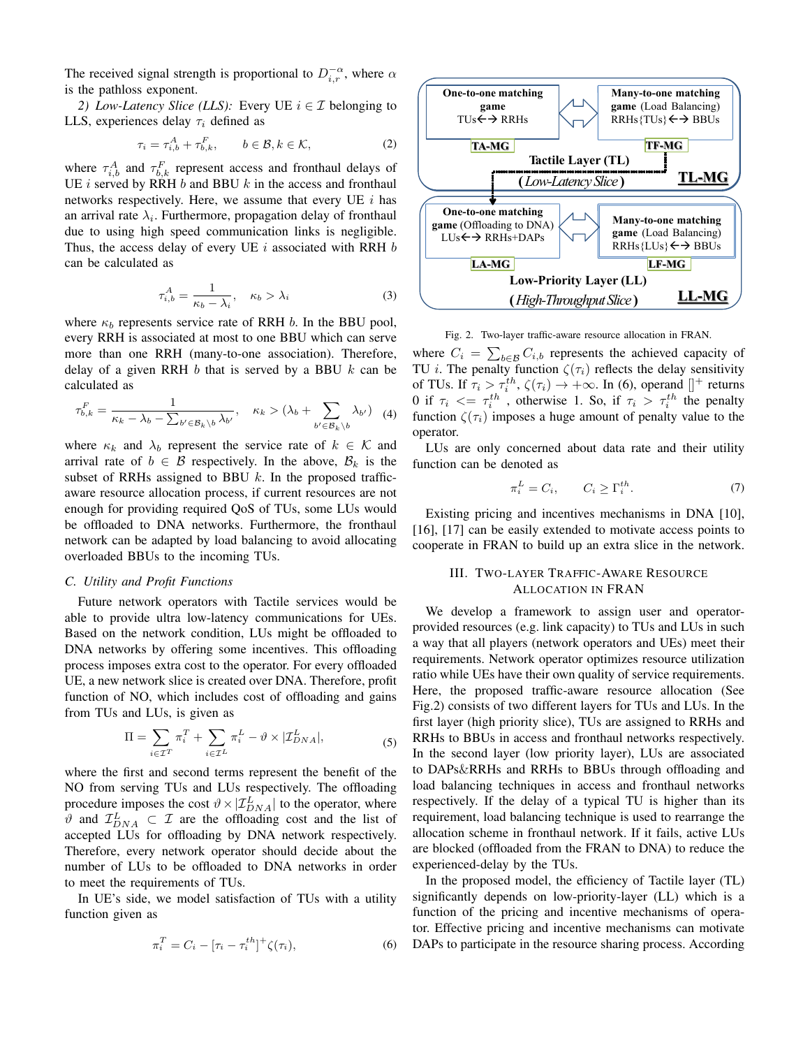The received signal strength is proportional to  $D_{i,r}^{-\alpha}$ , where  $\alpha$ is the pathloss exponent.

*2) Low-Latency Slice (LLS):* Every UE  $i \in \mathcal{I}$  belonging to LLS, experiences delay  $\tau_i$  defined as

$$
\tau_i = \tau_{i,b}^A + \tau_{b,k}^F, \qquad b \in \mathcal{B}, k \in \mathcal{K}, \tag{2}
$$

where  $\tau_{i,b}^A$  and  $\tau_{b,k}^F$  represent access and fronthaul delays of UE  $i$  served by RRH  $b$  and BBU  $k$  in the access and fronthaul networks respectively. Here, we assume that every UE  $i$  has an arrival rate  $\lambda_i$ . Furthermore, propagation delay of fronthaul due to using high speed communication links is negligible. Thus, the access delay of every UE  $i$  associated with RRH  $b$ can be calculated as

$$
\tau_{i,b}^A = \frac{1}{\kappa_b - \lambda_i}, \quad \kappa_b > \lambda_i
$$
 (3)

where  $\kappa_b$  represents service rate of RRH b. In the BBU pool, every RRH is associated at most to one BBU which can serve more than one RRH (many-to-one association). Therefore, delay of a given RRH  $b$  that is served by a BBU  $k$  can be calculated as

$$
\tau_{b,k}^F = \frac{1}{\kappa_k - \lambda_b - \sum_{b' \in \mathcal{B}_k \setminus b} \lambda_{b'}}, \quad \kappa_k > (\lambda_b + \sum_{b' \in \mathcal{B}_k \setminus b} \lambda_{b'}) \quad (4)
$$

where  $\kappa_k$  and  $\lambda_b$  represent the service rate of  $k \in \mathcal{K}$  and arrival rate of  $b \in \mathcal{B}$  respectively. In the above,  $\mathcal{B}_k$  is the subset of RRHs assigned to BBU  $k$ . In the proposed trafficaware resource allocation process, if current resources are not enough for providing required QoS of TUs, some LUs would be offloaded to DNA networks. Furthermore, the fronthaul network can be adapted by load balancing to avoid allocating overloaded BBUs to the incoming TUs.

### *C. Utility and Profit Functions*

Future network operators with Tactile services would be able to provide ultra low-latency communications for UEs. Based on the network condition, LUs might be offloaded to DNA networks by offering some incentives. This offloading process imposes extra cost to the operator. For every offloaded UE, a new network slice is created over DNA. Therefore, profit function of NO, which includes cost of offloading and gains from TUs and LUs, is given as

$$
\Pi = \sum_{i \in \mathcal{I}^T} \pi_i^T + \sum_{i \in \mathcal{I}^L} \pi_i^L - \vartheta \times |\mathcal{I}_{DNA}^L|, \tag{5}
$$

where the first and second terms represent the benefit of the NO from serving TUs and LUs respectively. The offloading procedure imposes the cost  $\vartheta \times |\mathcal{I}_{DNA}^{L}|$  to the operator, where  $\vartheta$  and  $\mathcal{I}_{DNA}^{L} \subset \mathcal{I}$  are the offloading cost and the list of accepted LUs for offloading by DNA network respectively. Therefore, every network operator should decide about the number of LUs to be offloaded to DNA networks in order to meet the requirements of TUs.

In UE's side, we model satisfaction of TUs with a utility function given as

$$
\pi_i^T = C_i - [\tau_i - \tau_i^{th}]^+ \zeta(\tau_i), \tag{6}
$$



Fig. 2. Two-layer traffic-aware resource allocation in FRAN.

where  $C_i = \sum_{b \in \mathcal{B}} C_{i,b}$  represents the achieved capacity of TU *i*. The penalty function  $\zeta(\tau_i)$  reflects the delay sensitivity of TUs. If  $\tau_i > \tau_i^{th}$ ,  $\zeta(\tau_i) \rightarrow +\infty$ . In (6), operand  $[]^+$  returns 0 if  $\tau_i \leq \tau_i^{th}$ , otherwise 1. So, if  $\tau_i > \tau_i^{th}$  the penalty function  $\zeta(\tau_i)$  imposes a huge amount of penalty value to the operator.

LUs are only concerned about data rate and their utility function can be denoted as

$$
\pi_i^L = C_i, \qquad C_i \ge \Gamma_i^{th}.\tag{7}
$$

Existing pricing and incentives mechanisms in DNA [10], [16], [17] can be easily extended to motivate access points to cooperate in FRAN to build up an extra slice in the network.

## III. TWO-LAYER TRAFFIC-AWARE RESOURCE ALLOCATION IN FRAN

We develop a framework to assign user and operatorprovided resources (e.g. link capacity) to TUs and LUs in such a way that all players (network operators and UEs) meet their requirements. Network operator optimizes resource utilization ratio while UEs have their own quality of service requirements. Here, the proposed traffic-aware resource allocation (See Fig.2) consists of two different layers for TUs and LUs. In the first layer (high priority slice), TUs are assigned to RRHs and RRHs to BBUs in access and fronthaul networks respectively. In the second layer (low priority layer), LUs are associated to DAPs&RRHs and RRHs to BBUs through offloading and load balancing techniques in access and fronthaul networks respectively. If the delay of a typical TU is higher than its requirement, load balancing technique is used to rearrange the allocation scheme in fronthaul network. If it fails, active LUs are blocked (offloaded from the FRAN to DNA) to reduce the experienced-delay by the TUs.

In the proposed model, the efficiency of Tactile layer (TL) significantly depends on low-priority-layer (LL) which is a function of the pricing and incentive mechanisms of operator. Effective pricing and incentive mechanisms can motivate DAPs to participate in the resource sharing process. According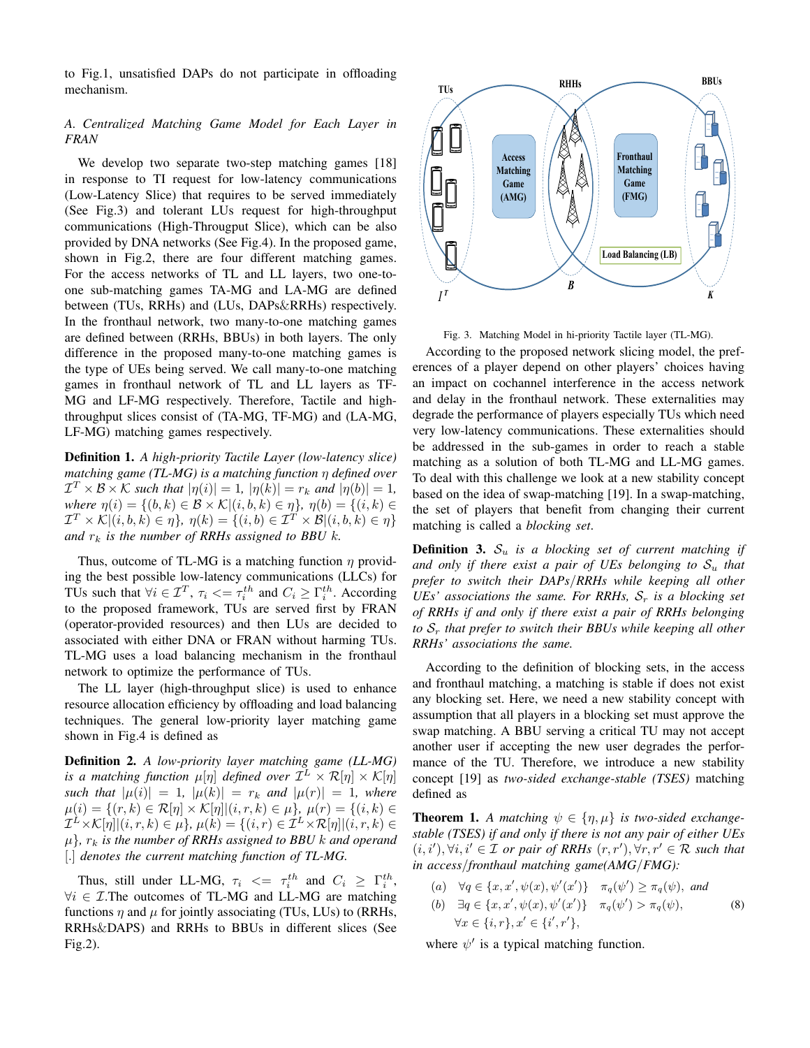to Fig.1, unsatisfied DAPs do not participate in offloading mechanism.

# *A. Centralized Matching Game Model for Each Layer in FRAN*

We develop two separate two-step matching games [18] in response to TI request for low-latency communications (Low-Latency Slice) that requires to be served immediately (See Fig.3) and tolerant LUs request for high-throughput communications (High-Througput Slice), which can be also provided by DNA networks (See Fig.4). In the proposed game, shown in Fig.2, there are four different matching games. For the access networks of TL and LL layers, two one-toone sub-matching games TA-MG and LA-MG are defined between (TUs, RRHs) and (LUs, DAPs&RRHs) respectively. In the fronthaul network, two many-to-one matching games are defined between (RRHs, BBUs) in both layers. The only difference in the proposed many-to-one matching games is the type of UEs being served. We call many-to-one matching games in fronthaul network of TL and LL layers as TF-MG and LF-MG respectively. Therefore, Tactile and highthroughput slices consist of (TA-MG, TF-MG) and (LA-MG, LF-MG) matching games respectively.

Definition 1. *A high-priority Tactile Layer (low-latency slice) matching game (TL-MG) is a matching function* η *defined over*  $\mathcal{I}^T \times \mathcal{B} \times \mathcal{K}$  such that  $|\eta(i)| = 1$ ,  $|\eta(k)| = r_k$  and  $|\eta(b)| = 1$ , *where*  $\eta(i) = \{(b, k) \in \mathcal{B} \times \mathcal{K} | (i, b, k) \in \eta \}, \eta(b) = \{(i, k) \in \mathcal{B} \times \mathcal{K} | (i, b, k) \in \eta \}$  $\mathcal{I}^T \times \mathcal{K} | (i, b, k) \in \eta$ ,  $\eta(k) = \{ (i, b) \in \mathcal{I}^T \times \mathcal{B} | (i, b, k) \in \eta \}$ and  $r_k$  *is the number of RRHs assigned to BBU k.* 

Thus, outcome of TL-MG is a matching function  $\eta$  providing the best possible low-latency communications (LLCs) for TUs such that  $\forall i \in \mathcal{I}^T$ ,  $\tau_i \leq \tau_i^{th}$  and  $C_i \geq \Gamma_i^{th}$ . According to the proposed framework, TUs are served first by FRAN (operator-provided resources) and then LUs are decided to associated with either DNA or FRAN without harming TUs. TL-MG uses a load balancing mechanism in the fronthaul network to optimize the performance of TUs.

The LL layer (high-throughput slice) is used to enhance resource allocation efficiency by offloading and load balancing techniques. The general low-priority layer matching game shown in Fig.4 is defined as

Definition 2. *A low-priority layer matching game (LL-MG) is a matching function*  $\mu[\eta]$  *defined over*  $\mathcal{I}^L \times \mathcal{R}[\eta] \times \mathcal{K}[\eta]$ *such that*  $|\mu(i)| = 1$ ,  $|\mu(k)| = r_k$  *and*  $|\mu(r)| = 1$ *, where*  $\mu(i) = \{(r, k) \in \mathcal{R}[\eta] \times \mathcal{K}[\eta] | (i, r, k) \in \mu\}, \ \mu(r) = \{(i, k) \in \mathcal{K}[\eta] \times \mathcal{K}[\eta] | (i, r, k) \in \mu\}$  $\mathcal{I}^{L}\times\mathcal{K}[\eta]|(i,r,k)\in\mu$ ,  $\mu(k)=\{(i,r)\in\mathcal{I}^{L}\times\mathcal{R}[\eta]|(i,r,k)\in\mathcal{I}^{L}$  $\{\mu\}$ ,  $r_k$  *is the number of RRHs assigned to BBU* k *and operand* [.] *denotes the current matching function of TL-MG.*

Thus, still under LL-MG,  $\tau_i \leq \tau_i^{th}$  and  $C_i \geq \Gamma_i^{th}$ ,  $\forall i \in \mathcal{I}$ . The outcomes of TL-MG and LL-MG are matching functions  $\eta$  and  $\mu$  for jointly associating (TUs, LUs) to (RRHs, RRHs&DAPS) and RRHs to BBUs in different slices (See Fig.2).



Fig. 3. Matching Model in hi-priority Tactile layer (TL-MG).

According to the proposed network slicing model, the preferences of a player depend on other players' choices having an impact on cochannel interference in the access network and delay in the fronthaul network. These externalities may degrade the performance of players especially TUs which need very low-latency communications. These externalities should be addressed in the sub-games in order to reach a stable matching as a solution of both TL-MG and LL-MG games. To deal with this challenge we look at a new stability concept based on the idea of swap-matching [19]. In a swap-matching, the set of players that benefit from changing their current matching is called a *blocking set*.

**Definition 3.**  $S_u$  *is a blocking set of current matching if* and only if there exist a pair of UEs belonging to  $S_u$  that *prefer to switch their DAPs*/*RRHs while keeping all other* UEs' associations the same. For RRHs,  $S_r$  *is a blocking set of RRHs if and only if there exist a pair of RRHs belonging to* S<sup>r</sup> *that prefer to switch their BBUs while keeping all other RRHs' associations the same.*

According to the definition of blocking sets, in the access and fronthaul matching, a matching is stable if does not exist any blocking set. Here, we need a new stability concept with assumption that all players in a blocking set must approve the swap matching. A BBU serving a critical TU may not accept another user if accepting the new user degrades the performance of the TU. Therefore, we introduce a new stability concept [19] as *two-sided exchange-stable (TSES)* matching defined as

**Theorem 1.** A matching  $\psi \in \{\eta, \mu\}$  is two-sided exchange*stable (TSES) if and only if there is not any pair of either UEs*  $(i, i'), \forall i, i' \in \mathcal{I}$  or pair of RRHs  $(r, r'), \forall r, r' \in \mathcal{R}$  such that *in access*/*fronthaul matching game(AMG*/*FMG):*

(a)  $\forall q \in \{x, x', \psi(x), \psi'(x')\}$   $\pi_q(\psi') \geq \pi_q(\psi)$ , and (b)  $\exists q \in \{x, x', \psi(x), \psi'(x')\}$   $\pi_q(\psi') > \pi_q(\psi)$ ,  $\forall x \in \{i, r\}, x' \in \{i', r'\},\$ (8)

where  $\psi'$  is a typical matching function.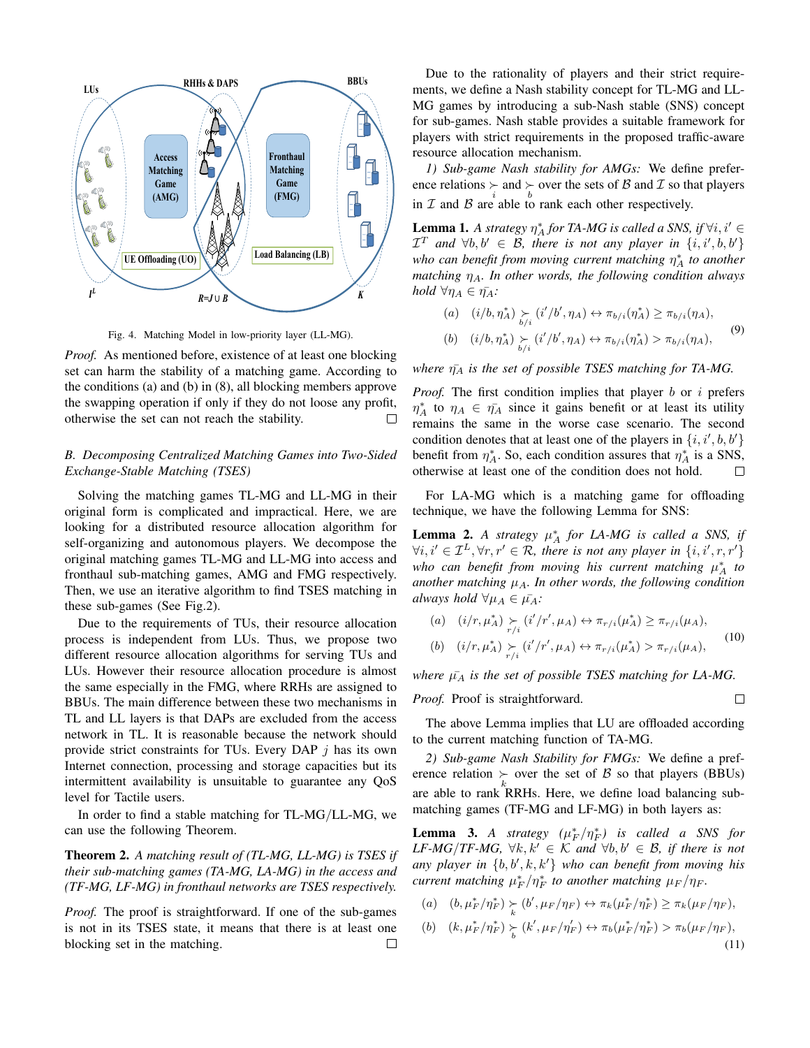

Fig. 4. Matching Model in low-priority layer (LL-MG).

*Proof.* As mentioned before, existence of at least one blocking set can harm the stability of a matching game. According to the conditions (a) and (b) in (8), all blocking members approve the swapping operation if only if they do not loose any profit, otherwise the set can not reach the stability.  $\Box$ 

## *B. Decomposing Centralized Matching Games into Two-Sided Exchange-Stable Matching (TSES)*

Solving the matching games TL-MG and LL-MG in their original form is complicated and impractical. Here, we are looking for a distributed resource allocation algorithm for self-organizing and autonomous players. We decompose the original matching games TL-MG and LL-MG into access and fronthaul sub-matching games, AMG and FMG respectively. Then, we use an iterative algorithm to find TSES matching in these sub-games (See Fig.2).

Due to the requirements of TUs, their resource allocation process is independent from LUs. Thus, we propose two different resource allocation algorithms for serving TUs and LUs. However their resource allocation procedure is almost the same especially in the FMG, where RRHs are assigned to BBUs. The main difference between these two mechanisms in TL and LL layers is that DAPs are excluded from the access network in TL. It is reasonable because the network should provide strict constraints for TUs. Every DAP  $j$  has its own Internet connection, processing and storage capacities but its intermittent availability is unsuitable to guarantee any QoS level for Tactile users.

In order to find a stable matching for TL-MG/LL-MG, we can use the following Theorem.

Theorem 2. *A matching result of (TL-MG, LL-MG) is TSES if their sub-matching games (TA-MG, LA-MG) in the access and (TF-MG, LF-MG) in fronthaul networks are TSES respectively.*

*Proof.* The proof is straightforward. If one of the sub-games is not in its TSES state, it means that there is at least one blocking set in the matching.  $\Box$ 

Due to the rationality of players and their strict requirements, we define a Nash stability concept for TL-MG and LL-MG games by introducing a sub-Nash stable (SNS) concept for sub-games. Nash stable provides a suitable framework for players with strict requirements in the proposed traffic-aware resource allocation mechanism.

*1) Sub-game Nash stability for AMGs:* We define preference relations  $\succ$  and  $\succ$  over the sets of B and I so that players in  $\mathcal I$  and  $\mathcal B$  are able to rank each other respectively.

**Lemma 1.** A strategy  $\eta_A^*$  for TA-MG is called a SNS, if  $\forall i, i' \in$  $\mathcal{I}^T$  and  $\forall b, b' \in \mathcal{B}$ , there is not any player in  $\{i, i', b, b'\}$ *who can benefit from moving current matching* η ∗ <sup>A</sup> *to another matching*  $η<sub>A</sub>$ *. In other words, the following condition always hold*  $\forall \eta_A \in \bar{\eta_A}$ *:* 

$$
(a) \quad (i/b, \eta_A^*) \underset{b/i}{\succ} (i'/b', \eta_A) \leftrightarrow \pi_{b/i}(\eta_A^*) \ge \pi_{b/i}(\eta_A),
$$
\n
$$
(b) \quad (i/b, \eta_A^*) \underset{b/i}{\succ} (i'/b', \eta_A) \leftrightarrow \pi_{b/i}(\eta_A^*) > \pi_{b/i}(\eta_A),
$$
\n
$$
(9)
$$

*where*  $\bar{\eta}_A$  *is the set of possible TSES matching for TA-MG.* 

*Proof.* The first condition implies that player b or i prefers  $\eta_A^*$  to  $\eta_A \in \bar{\eta}_A$  since it gains benefit or at least its utility remains the same in the worse case scenario. The second condition denotes that at least one of the players in  $\{i, i', b, b'\}$ benefit from  $\eta_A^*$ . So, each condition assures that  $\eta_A^*$  is a SNS, otherwise at least one of the condition does not hold.  $\Box$ 

For LA-MG which is a matching game for offloading technique, we have the following Lemma for SNS:

**Lemma 2.** *A strategy*  $\mu_A^*$  *for LA-MG is called a SNS, if*  $\forall i, i' \in \mathcal{I}^L, \forall r, r' \in \mathcal{R}$ , there is not any player in  $\{i, i', r, r'\}$ *who can benefit from moving his current matching* µ ∗ <sup>A</sup> *to* another matching  $\mu_A$ *. In other words, the following condition always hold*  $\forall \mu_A \in \bar{\mu_A}$ *:* 

$$
(a) \quad (i/r, \mu_A^*) \underset{r/i}{\succ} (i'/r', \mu_A) \leftrightarrow \pi_{r/i}(\mu_A^*) \ge \pi_{r/i}(\mu_A),
$$
\n
$$
(b) \quad (i/r, \mu_A^*) \underset{r/i}{\succ} (i'/r', \mu_A) \leftrightarrow \pi_{r/i}(\mu_A^*) > \pi_{r/i}(\mu_A), \tag{10}
$$

*where*  $\bar{\mu_A}$  *is the set of possible TSES matching for LA-MG.* 

*Proof.* Proof is straightforward. 
$$
\Box
$$

The above Lemma implies that LU are offloaded according to the current matching function of TA-MG.

*2) Sub-game Nash Stability for FMGs:* We define a preference relation  $\succ$  over the set of B so that players (BBUs) are able to rank RRHs. Here, we define load balancing submatching games (TF-MG and LF-MG) in both layers as:

**Lemma 3.** *A strategy*  $(\mu_F^*/\eta_F^*)$  *is called a SNS for LF-MG*/*TF-MG*,  $\forall k, k' \in \mathcal{K}$  *and*  $\forall b, b' \in \mathcal{B}$ , *if there is not* any player in  $\{b, b', k, k'\}$  who can benefit from moving his *current matching*  $\mu_F^* / \eta_F^*$  *to another matching*  $\mu_F / \eta_F$ *.* 

 $(a)$   $(b, \mu_F^* / \eta_F^*) \succ (b', \mu_F / \eta_F) \leftrightarrow \pi_k(\mu_F^* / \eta_F^*) \geq \pi_k(\mu_F / \eta_F),$ (b)  $(k, \mu_F^*/\eta_F^*) \succcurlyeq (k', \mu_F/\eta_F') \leftrightarrow \pi_b(\mu_F^*/\eta_F^*) > \pi_b(\mu_F/\eta_F),$ 

$$
(11)
$$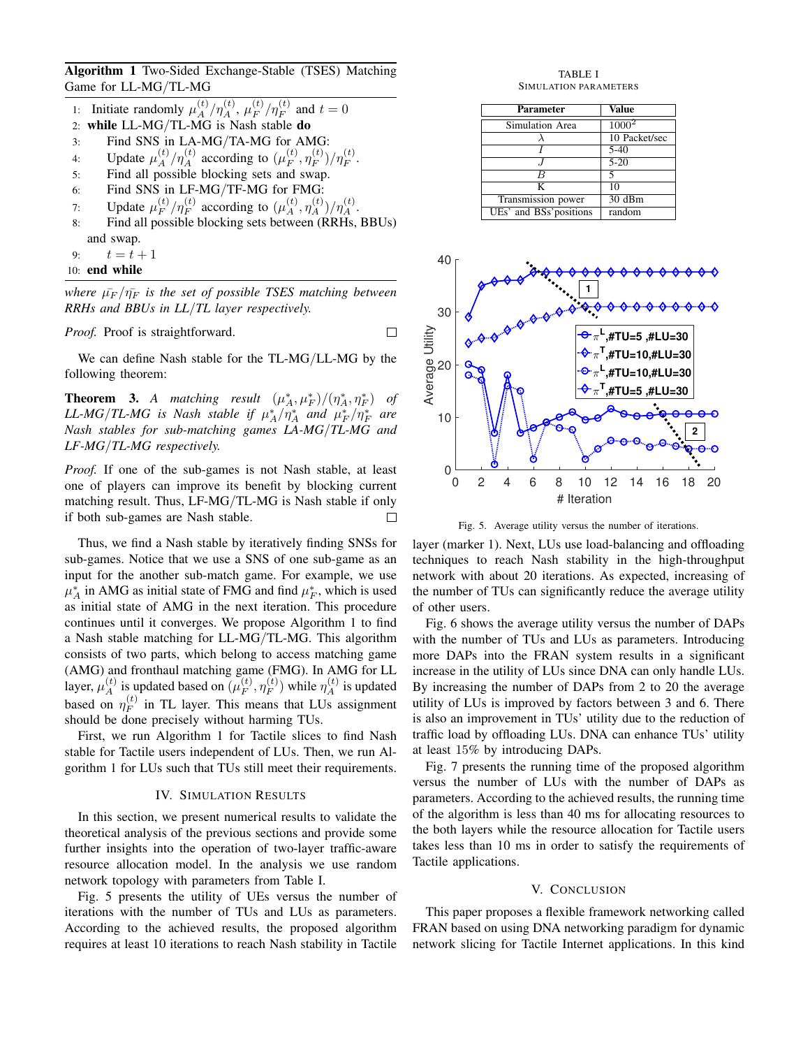Algorithm 1 Two-Sided Exchange-Stable (TSES) Matching Game for LL-MG/TL-MG

- 1: Initiate randomly  $\mu_A^{(t)}/\eta_A^{(t)}, \mu_F^{(t)}$  $_{F}^{(t)}/\eta_{F}^{(t)}$  and  $t=0$
- 2: while LL-MG/TL-MG is Nash stable do
- 3: Find SNS in LA-MG/TA-MG for AMG:
- 4: Update  $\mu_A^{(t)}/\eta_A^{(t)}$  according to  $(\mu_F^{(t)})$  $_{F}^{(t)},\eta _{F}^{(t)}$  $\eta_F^{(t)})/\eta_F^{(t)}.$
- 5: Find all possible blocking sets and swap.
- 6: Find SNS in LF-MG/TF-MG for FMG:
- 7: Update  $\mu_F^{(t)}$  $\binom{t}{F}/\eta_F^{(t)}$  according to  $(\mu_A^{(t)}, \eta_A^{(t)})/\eta_A^{(t)}$ .
- 8: Find all possible blocking sets between (RRHs, BBUs) and swap. 9:  $t = t + 1$
- 10: end while

*where*  $\bar{\mu}_F / \bar{\eta}_F$  *is the set of possible TSES matching between RRHs and BBUs in LL*/*TL layer respectively.*

Proof. Proof is straightforward.

We can define Nash stable for the TL-MG/LL-MG by the following theorem:

 $\Box$ 

**Theorem 3.** *A matching result*  $(\mu_A^*, \mu_F^*)/(\eta_A^*, \eta_F^*)$  *of* LL-MG<sup>/</sup>*TL-MG* is Nash stable if  $\mu_A^*/\eta_A^*$  and  $\mu_F^*/\eta_F^*$  are *Nash stables for sub-matching games LA-MG*/*TL-MG and LF-MG*/*TL-MG respectively.*

*Proof.* If one of the sub-games is not Nash stable, at least one of players can improve its benefit by blocking current matching result. Thus, LF-MG/TL-MG is Nash stable if only if both sub-games are Nash stable.  $\Box$ 

Thus, we find a Nash stable by iteratively finding SNSs for sub-games. Notice that we use a SNS of one sub-game as an input for the another sub-match game. For example, we use  $\mu_A^*$  in AMG as initial state of FMG and find  $\mu_F^*$ , which is used as initial state of AMG in the next iteration. This procedure continues until it converges. We propose Algorithm 1 to find a Nash stable matching for LL-MG/TL-MG. This algorithm consists of two parts, which belong to access matching game (AMG) and fronthaul matching game (FMG). In AMG for LL layer,  $\mu_A^{(t)}$  is updated based on  $(\mu_F^{(t)})$  $f^{(t)}_F, \eta^{(t)}_F$  $\binom{t}{F}$  while  $\eta_A^{(t)}$  is updated based on  $\eta_F^{(t)}$  $\int_F^{(t)}$  in TL layer. This means that LUs assignment should be done precisely without harming TUs.

First, we run Algorithm 1 for Tactile slices to find Nash stable for Tactile users independent of LUs. Then, we run Algorithm 1 for LUs such that TUs still meet their requirements.

#### IV. SIMULATION RESULTS

In this section, we present numerical results to validate the theoretical analysis of the previous sections and provide some further insights into the operation of two-layer traffic-aware resource allocation model. In the analysis we use random network topology with parameters from Table I.

Fig. 5 presents the utility of UEs versus the number of iterations with the number of TUs and LUs as parameters. According to the achieved results, the proposed algorithm requires at least 10 iterations to reach Nash stability in Tactile

TABLE I SIMULATION PARAMETERS

| <b>Parameter</b>                    | <b>Value</b>  |
|-------------------------------------|---------------|
| Simulation Area                     | $1000^2$      |
|                                     | 10 Packet/sec |
|                                     | $5-40$        |
|                                     | $5 - 20$      |
|                                     |               |
| K                                   | 10            |
| Transmission power                  | 30dBm         |
| UEs' and $\overline{BSS}$ positions | random        |



Fig. 5. Average utility versus the number of iterations.

layer (marker 1). Next, LUs use load-balancing and offloading techniques to reach Nash stability in the high-throughput network with about 20 iterations. As expected, increasing of the number of TUs can significantly reduce the average utility of other users.

Fig. 6 shows the average utility versus the number of DAPs with the number of TUs and LUs as parameters. Introducing more DAPs into the FRAN system results in a significant increase in the utility of LUs since DNA can only handle LUs. By increasing the number of DAPs from 2 to 20 the average utility of LUs is improved by factors between 3 and 6. There is also an improvement in TUs' utility due to the reduction of traffic load by offloading LUs. DNA can enhance TUs' utility at least 15% by introducing DAPs.

Fig. 7 presents the running time of the proposed algorithm versus the number of LUs with the number of DAPs as parameters. According to the achieved results, the running time of the algorithm is less than 40 ms for allocating resources to the both layers while the resource allocation for Tactile users takes less than 10 ms in order to satisfy the requirements of Tactile applications.

#### V. CONCLUSION

This paper proposes a flexible framework networking called FRAN based on using DNA networking paradigm for dynamic network slicing for Tactile Internet applications. In this kind